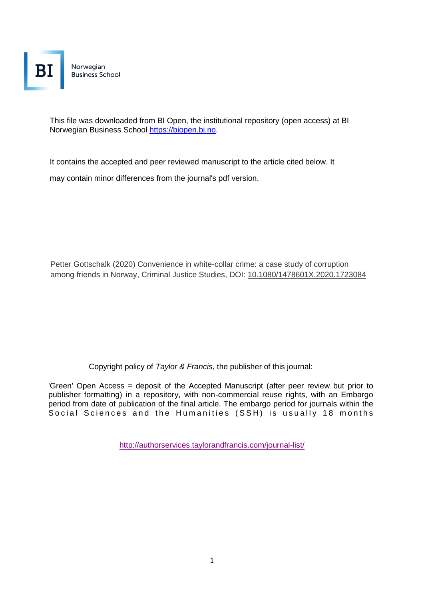Norwegian **Business School** 

This file was downloaded from BI Open, the institutional repository (open access) at BI Norwegian Business School https://biopen.bi.no.

It contains the accepted and peer reviewed manuscript to the article cited below. It

may contain minor differences from the journal's pdf version.

Petter Gottschalk (2020) Convenience in white-collar crime: a case study of corruption among friends in Norway, Criminal Justice Studies, DOI: [10.1080/1478601X.2020.1723084](https://doi.org/10.1080/1478601X.2020.1723084)

Copyright policy of *Taylor & Francis,* the publisher of this journal:

'Green' Open Access = deposit of the Accepted Manuscript (after peer review but prior to publisher formatting) in a repository, with non-commercial reuse rights, with an Embargo period from date of publication of the final article. The embargo period for journals within the Social Sciences and the Humanities (SSH) is usually 18 months

<http://authorservices.taylorandfrancis.com/journal-list/>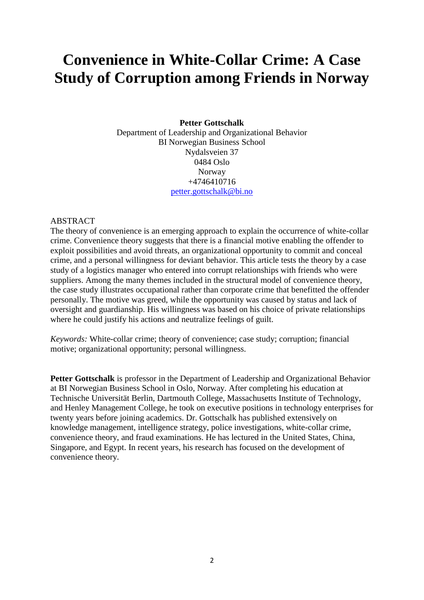# **Convenience in White-Collar Crime: A Case Study of Corruption among Friends in Norway**

## **Petter Gottschalk**

Department of Leadership and Organizational Behavior BI Norwegian Business School Nydalsveien 37 0484 Oslo Norway +4746410716 [petter.gottschalk@bi.no](mailto:petter.gottschalk@bi.no)

## ABSTRACT

The theory of convenience is an emerging approach to explain the occurrence of white-collar crime. Convenience theory suggests that there is a financial motive enabling the offender to exploit possibilities and avoid threats, an organizational opportunity to commit and conceal crime, and a personal willingness for deviant behavior. This article tests the theory by a case study of a logistics manager who entered into corrupt relationships with friends who were suppliers. Among the many themes included in the structural model of convenience theory, the case study illustrates occupational rather than corporate crime that benefitted the offender personally. The motive was greed, while the opportunity was caused by status and lack of oversight and guardianship. His willingness was based on his choice of private relationships where he could justify his actions and neutralize feelings of guilt.

*Keywords:* White-collar crime; theory of convenience; case study; corruption; financial motive; organizational opportunity; personal willingness.

**Petter Gottschalk** is professor in the Department of Leadership and Organizational Behavior at BI Norwegian Business School in Oslo, Norway. After completing his education at Technische Universität Berlin, Dartmouth College, Massachusetts Institute of Technology, and Henley Management College, he took on executive positions in technology enterprises for twenty years before joining academics. Dr. Gottschalk has published extensively on knowledge management, intelligence strategy, police investigations, white-collar crime, convenience theory, and fraud examinations. He has lectured in the United States, China, Singapore, and Egypt. In recent years, his research has focused on the development of convenience theory.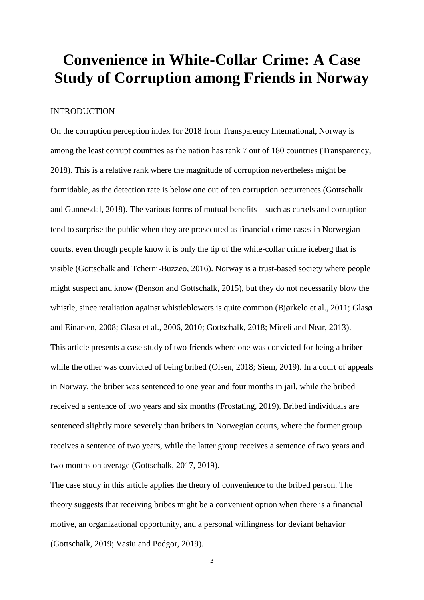## **Convenience in White-Collar Crime: A Case Study of Corruption among Friends in Norway**

## INTRODUCTION

On the corruption perception index for 2018 from Transparency International, Norway is among the least corrupt countries as the nation has rank 7 out of 180 countries (Transparency, 2018). This is a relative rank where the magnitude of corruption nevertheless might be formidable, as the detection rate is below one out of ten corruption occurrences (Gottschalk and Gunnesdal, 2018). The various forms of mutual benefits – such as cartels and corruption – tend to surprise the public when they are prosecuted as financial crime cases in Norwegian courts, even though people know it is only the tip of the white-collar crime iceberg that is visible (Gottschalk and Tcherni-Buzzeo, 2016). Norway is a trust-based society where people might suspect and know (Benson and Gottschalk, 2015), but they do not necessarily blow the whistle, since retaliation against whistleblowers is quite common (Bjørkelo et al., 2011; Glasø and Einarsen, 2008; Glasø et al., 2006, 2010; Gottschalk, 2018; Miceli and Near, 2013). This article presents a case study of two friends where one was convicted for being a briber while the other was convicted of being bribed (Olsen, 2018; Siem, 2019). In a court of appeals in Norway, the briber was sentenced to one year and four months in jail, while the bribed received a sentence of two years and six months (Frostating, 2019). Bribed individuals are sentenced slightly more severely than bribers in Norwegian courts, where the former group receives a sentence of two years, while the latter group receives a sentence of two years and two months on average (Gottschalk, 2017, 2019).

The case study in this article applies the theory of convenience to the bribed person. The theory suggests that receiving bribes might be a convenient option when there is a financial motive, an organizational opportunity, and a personal willingness for deviant behavior (Gottschalk, 2019; Vasiu and Podgor, 2019).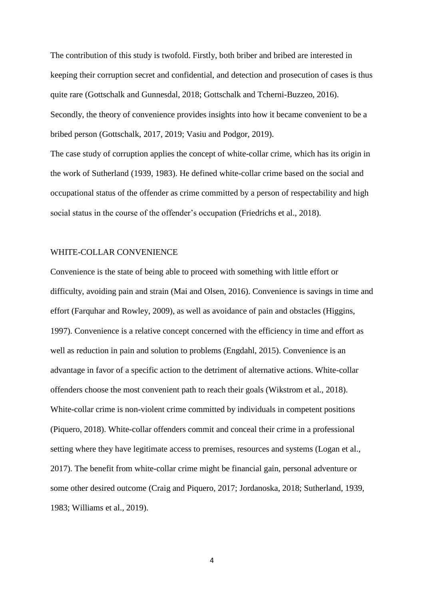The contribution of this study is twofold. Firstly, both briber and bribed are interested in keeping their corruption secret and confidential, and detection and prosecution of cases is thus quite rare (Gottschalk and Gunnesdal, 2018; Gottschalk and Tcherni-Buzzeo, 2016). Secondly, the theory of convenience provides insights into how it became convenient to be a bribed person (Gottschalk, 2017, 2019; Vasiu and Podgor, 2019).

The case study of corruption applies the concept of white-collar crime, which has its origin in the work of Sutherland (1939, 1983). He defined white-collar crime based on the social and occupational status of the offender as crime committed by a person of respectability and high social status in the course of the offender's occupation (Friedrichs et al., 2018).

#### WHITE-COLLAR CONVENIENCE

Convenience is the state of being able to proceed with something with little effort or difficulty, avoiding pain and strain (Mai and Olsen, 2016). Convenience is savings in time and effort (Farquhar and Rowley, 2009), as well as avoidance of pain and obstacles (Higgins, 1997). Convenience is a relative concept concerned with the efficiency in time and effort as well as reduction in pain and solution to problems (Engdahl, 2015). Convenience is an advantage in favor of a specific action to the detriment of alternative actions. White-collar offenders choose the most convenient path to reach their goals (Wikstrom et al., 2018). White-collar crime is non-violent crime committed by individuals in competent positions (Piquero, 2018). White-collar offenders commit and conceal their crime in a professional setting where they have legitimate access to premises, resources and systems (Logan et al., 2017). The benefit from white-collar crime might be financial gain, personal adventure or some other desired outcome (Craig and Piquero, 2017; Jordanoska, 2018; Sutherland, 1939, 1983; Williams et al., 2019).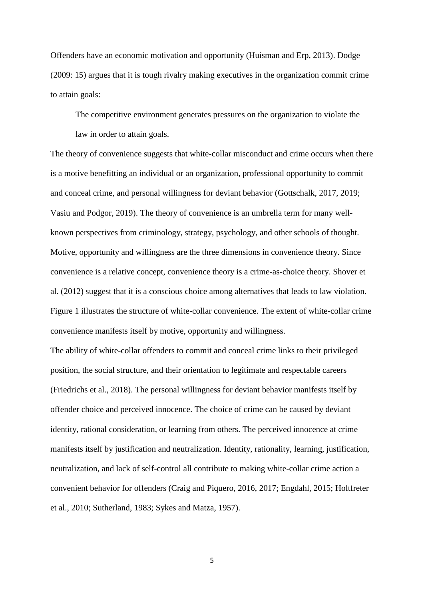Offenders have an economic motivation and opportunity (Huisman and Erp, 2013). Dodge (2009: 15) argues that it is tough rivalry making executives in the organization commit crime to attain goals:

The competitive environment generates pressures on the organization to violate the law in order to attain goals.

The theory of convenience suggests that white-collar misconduct and crime occurs when there is a motive benefitting an individual or an organization, professional opportunity to commit and conceal crime, and personal willingness for deviant behavior (Gottschalk, 2017, 2019; Vasiu and Podgor, 2019). The theory of convenience is an umbrella term for many wellknown perspectives from criminology, strategy, psychology, and other schools of thought. Motive, opportunity and willingness are the three dimensions in convenience theory. Since convenience is a relative concept, convenience theory is a crime-as-choice theory. Shover et al. (2012) suggest that it is a conscious choice among alternatives that leads to law violation. Figure 1 illustrates the structure of white-collar convenience. The extent of white-collar crime convenience manifests itself by motive, opportunity and willingness.

The ability of white-collar offenders to commit and conceal crime links to their privileged position, the social structure, and their orientation to legitimate and respectable careers (Friedrichs et al., 2018). The personal willingness for deviant behavior manifests itself by offender choice and perceived innocence. The choice of crime can be caused by deviant identity, rational consideration, or learning from others. The perceived innocence at crime manifests itself by justification and neutralization. Identity, rationality, learning, justification, neutralization, and lack of self-control all contribute to making white-collar crime action a convenient behavior for offenders (Craig and Piquero, 2016, 2017; Engdahl, 2015; Holtfreter et al., 2010; Sutherland, 1983; Sykes and Matza, 1957).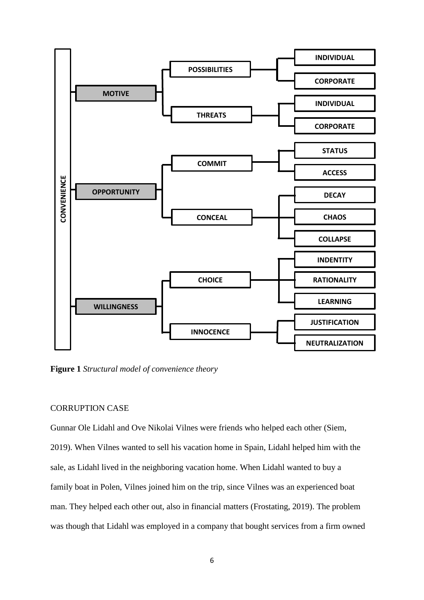

**Figure 1** *Structural model of convenience theory*

#### CORRUPTION CASE

Gunnar Ole Lidahl and Ove Nikolai Vilnes were friends who helped each other (Siem, 2019). When Vilnes wanted to sell his vacation home in Spain, Lidahl helped him with the sale, as Lidahl lived in the neighboring vacation home. When Lidahl wanted to buy a family boat in Polen, Vilnes joined him on the trip, since Vilnes was an experienced boat man. They helped each other out, also in financial matters (Frostating, 2019). The problem was though that Lidahl was employed in a company that bought services from a firm owned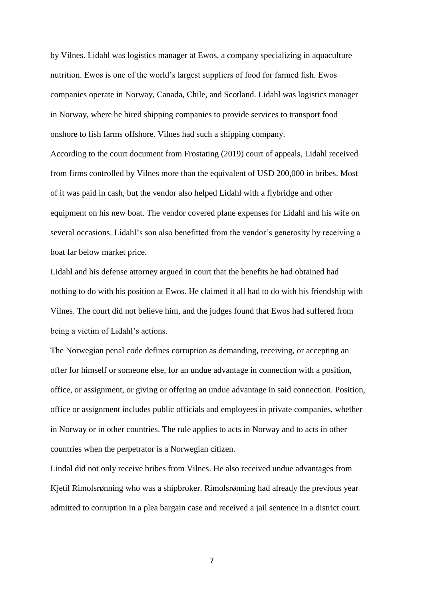by Vilnes. Lidahl was logistics manager at Ewos, a company specializing in aquaculture nutrition. Ewos is one of the world's largest suppliers of food for farmed fish. Ewos companies operate in Norway, Canada, Chile, and Scotland. Lidahl was logistics manager in Norway, where he hired shipping companies to provide services to transport food onshore to fish farms offshore. Vilnes had such a shipping company.

According to the court document from Frostating (2019) court of appeals, Lidahl received from firms controlled by Vilnes more than the equivalent of USD 200,000 in bribes. Most of it was paid in cash, but the vendor also helped Lidahl with a flybridge and other equipment on his new boat. The vendor covered plane expenses for Lidahl and his wife on several occasions. Lidahl's son also benefitted from the vendor's generosity by receiving a boat far below market price.

Lidahl and his defense attorney argued in court that the benefits he had obtained had nothing to do with his position at Ewos. He claimed it all had to do with his friendship with Vilnes. The court did not believe him, and the judges found that Ewos had suffered from being a victim of Lidahl's actions.

The Norwegian penal code defines corruption as demanding, receiving, or accepting an offer for himself or someone else, for an undue advantage in connection with a position, office, or assignment, or giving or offering an undue advantage in said connection. Position, office or assignment includes public officials and employees in private companies, whether in Norway or in other countries. The rule applies to acts in Norway and to acts in other countries when the perpetrator is a Norwegian citizen.

Lindal did not only receive bribes from Vilnes. He also received undue advantages from Kjetil Rimolsrønning who was a shipbroker. Rimolsrønning had already the previous year admitted to corruption in a plea bargain case and received a jail sentence in a district court.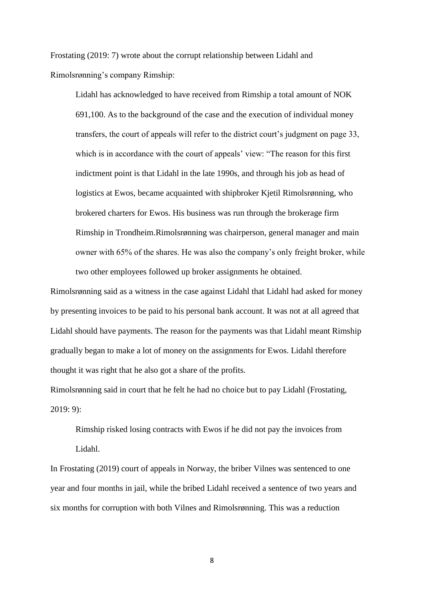Frostating (2019: 7) wrote about the corrupt relationship between Lidahl and Rimolsrønning's company Rimship:

Lidahl has acknowledged to have received from Rimship a total amount of NOK 691,100. As to the background of the case and the execution of individual money transfers, the court of appeals will refer to the district court's judgment on page 33, which is in accordance with the court of appeals' view: "The reason for this first indictment point is that Lidahl in the late 1990s, and through his job as head of logistics at Ewos, became acquainted with shipbroker Kjetil Rimolsrønning, who brokered charters for Ewos. His business was run through the brokerage firm Rimship in Trondheim.Rimolsrønning was chairperson, general manager and main owner with 65% of the shares. He was also the company's only freight broker, while two other employees followed up broker assignments he obtained.

Rimolsrønning said as a witness in the case against Lidahl that Lidahl had asked for money by presenting invoices to be paid to his personal bank account. It was not at all agreed that Lidahl should have payments. The reason for the payments was that Lidahl meant Rimship gradually began to make a lot of money on the assignments for Ewos. Lidahl therefore thought it was right that he also got a share of the profits.

Rimolsrønning said in court that he felt he had no choice but to pay Lidahl (Frostating, 2019: 9):

Rimship risked losing contracts with Ewos if he did not pay the invoices from Lidahl.

In Frostating (2019) court of appeals in Norway, the briber Vilnes was sentenced to one year and four months in jail, while the bribed Lidahl received a sentence of two years and six months for corruption with both Vilnes and Rimolsrønning. This was a reduction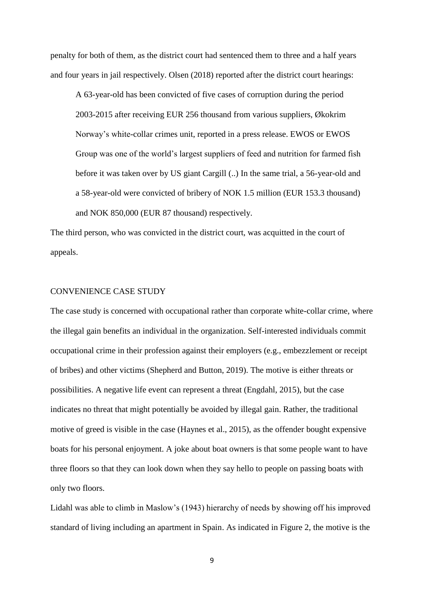penalty for both of them, as the district court had sentenced them to three and a half years and four years in jail respectively. Olsen (2018) reported after the district court hearings:

A 63-year-old has been convicted of five cases of corruption during the period 2003-2015 after receiving EUR 256 thousand from various suppliers, Økokrim Norway's white-collar crimes unit, reported in a press release. EWOS or EWOS Group was one of the world's largest suppliers of feed and nutrition for farmed fish before it was taken over by US giant Cargill (..) In the same trial, a 56-year-old and a 58-year-old were convicted of bribery of NOK 1.5 million (EUR 153.3 thousand) and NOK 850,000 (EUR 87 thousand) respectively.

The third person, who was convicted in the district court, was acquitted in the court of appeals.

#### CONVENIENCE CASE STUDY

The case study is concerned with occupational rather than corporate white-collar crime, where the illegal gain benefits an individual in the organization. Self-interested individuals commit occupational crime in their profession against their employers (e.g., embezzlement or receipt of bribes) and other victims (Shepherd and Button, 2019). The motive is either threats or possibilities. A negative life event can represent a threat (Engdahl, 2015), but the case indicates no threat that might potentially be avoided by illegal gain. Rather, the traditional motive of greed is visible in the case (Haynes et al., 2015), as the offender bought expensive boats for his personal enjoyment. A joke about boat owners is that some people want to have three floors so that they can look down when they say hello to people on passing boats with only two floors.

Lidahl was able to climb in Maslow's (1943) hierarchy of needs by showing off his improved standard of living including an apartment in Spain. As indicated in Figure 2, the motive is the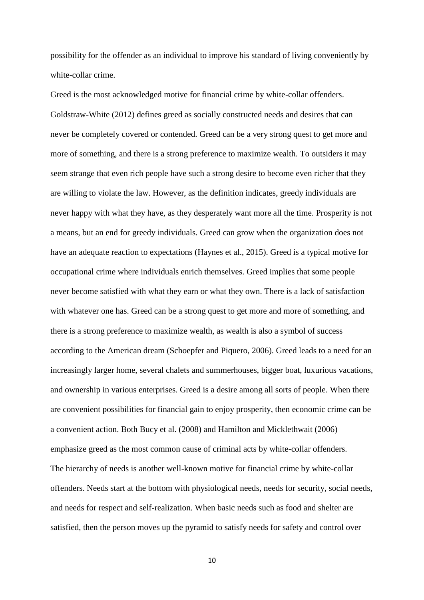possibility for the offender as an individual to improve his standard of living conveniently by white-collar crime.

Greed is the most acknowledged motive for financial crime by white-collar offenders. Goldstraw-White (2012) defines greed as socially constructed needs and desires that can never be completely covered or contended. Greed can be a very strong quest to get more and more of something, and there is a strong preference to maximize wealth. To outsiders it may seem strange that even rich people have such a strong desire to become even richer that they are willing to violate the law. However, as the definition indicates, greedy individuals are never happy with what they have, as they desperately want more all the time. Prosperity is not a means, but an end for greedy individuals. Greed can grow when the organization does not have an adequate reaction to expectations (Haynes et al., 2015). Greed is a typical motive for occupational crime where individuals enrich themselves. Greed implies that some people never become satisfied with what they earn or what they own. There is a lack of satisfaction with whatever one has. Greed can be a strong quest to get more and more of something, and there is a strong preference to maximize wealth, as wealth is also a symbol of success according to the American dream (Schoepfer and Piquero, 2006). Greed leads to a need for an increasingly larger home, several chalets and summerhouses, bigger boat, luxurious vacations, and ownership in various enterprises. Greed is a desire among all sorts of people. When there are convenient possibilities for financial gain to enjoy prosperity, then economic crime can be a convenient action. Both Bucy et al. (2008) and Hamilton and Micklethwait (2006) emphasize greed as the most common cause of criminal acts by white-collar offenders. The hierarchy of needs is another well-known motive for financial crime by white-collar offenders. Needs start at the bottom with physiological needs, needs for security, social needs, and needs for respect and self-realization. When basic needs such as food and shelter are satisfied, then the person moves up the pyramid to satisfy needs for safety and control over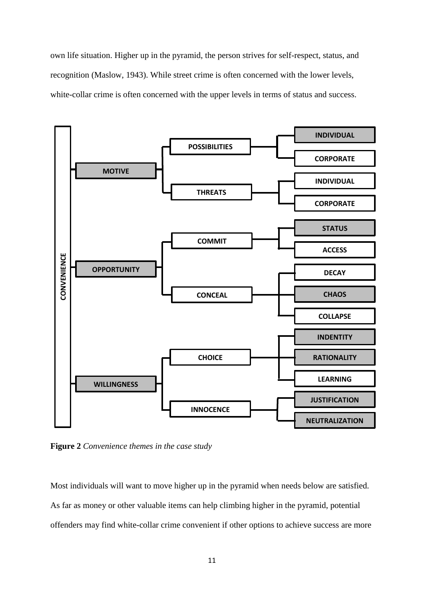own life situation. Higher up in the pyramid, the person strives for self-respect, status, and recognition (Maslow, 1943). While street crime is often concerned with the lower levels, white-collar crime is often concerned with the upper levels in terms of status and success.



**Figure 2** *Convenience themes in the case study*

Most individuals will want to move higher up in the pyramid when needs below are satisfied. As far as money or other valuable items can help climbing higher in the pyramid, potential offenders may find white-collar crime convenient if other options to achieve success are more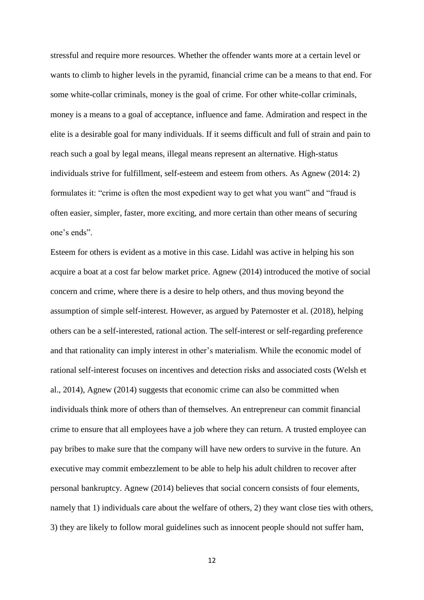stressful and require more resources. Whether the offender wants more at a certain level or wants to climb to higher levels in the pyramid, financial crime can be a means to that end. For some white-collar criminals, money is the goal of crime. For other white-collar criminals, money is a means to a goal of acceptance, influence and fame. Admiration and respect in the elite is a desirable goal for many individuals. If it seems difficult and full of strain and pain to reach such a goal by legal means, illegal means represent an alternative. High-status individuals strive for fulfillment, self-esteem and esteem from others. As Agnew (2014: 2) formulates it: "crime is often the most expedient way to get what you want" and "fraud is often easier, simpler, faster, more exciting, and more certain than other means of securing one's ends".

Esteem for others is evident as a motive in this case. Lidahl was active in helping his son acquire a boat at a cost far below market price. Agnew (2014) introduced the motive of social concern and crime, where there is a desire to help others, and thus moving beyond the assumption of simple self-interest. However, as argued by Paternoster et al. (2018), helping others can be a self-interested, rational action. The self-interest or self-regarding preference and that rationality can imply interest in other's materialism. While the economic model of rational self-interest focuses on incentives and detection risks and associated costs (Welsh et al., 2014), Agnew (2014) suggests that economic crime can also be committed when individuals think more of others than of themselves. An entrepreneur can commit financial crime to ensure that all employees have a job where they can return. A trusted employee can pay bribes to make sure that the company will have new orders to survive in the future. An executive may commit embezzlement to be able to help his adult children to recover after personal bankruptcy. Agnew (2014) believes that social concern consists of four elements, namely that 1) individuals care about the welfare of others, 2) they want close ties with others, 3) they are likely to follow moral guidelines such as innocent people should not suffer ham,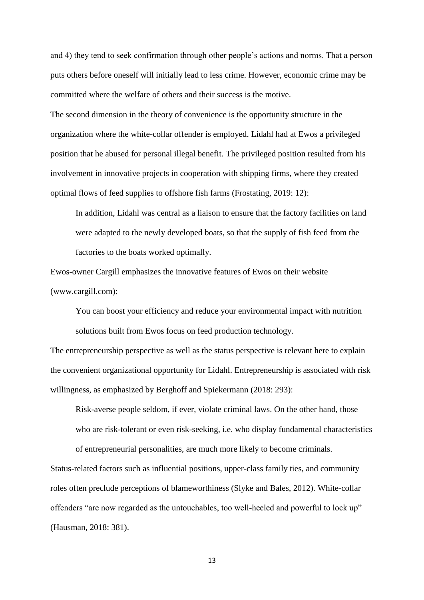and 4) they tend to seek confirmation through other people's actions and norms. That a person puts others before oneself will initially lead to less crime. However, economic crime may be committed where the welfare of others and their success is the motive.

The second dimension in the theory of convenience is the opportunity structure in the organization where the white-collar offender is employed. Lidahl had at Ewos a privileged position that he abused for personal illegal benefit. The privileged position resulted from his involvement in innovative projects in cooperation with shipping firms, where they created optimal flows of feed supplies to offshore fish farms (Frostating, 2019: 12):

In addition, Lidahl was central as a liaison to ensure that the factory facilities on land were adapted to the newly developed boats, so that the supply of fish feed from the factories to the boats worked optimally.

Ewos-owner Cargill emphasizes the innovative features of Ewos on their website (www.cargill.com):

You can boost your efficiency and reduce your environmental impact with nutrition solutions built from Ewos focus on feed production technology.

The entrepreneurship perspective as well as the status perspective is relevant here to explain the convenient organizational opportunity for Lidahl. Entrepreneurship is associated with risk willingness, as emphasized by Berghoff and Spiekermann (2018: 293):

Risk-averse people seldom, if ever, violate criminal laws. On the other hand, those who are risk-tolerant or even risk-seeking, i.e. who display fundamental characteristics of entrepreneurial personalities, are much more likely to become criminals.

Status-related factors such as influential positions, upper-class family ties, and community roles often preclude perceptions of blameworthiness (Slyke and Bales, 2012). White-collar offenders "are now regarded as the untouchables, too well-heeled and powerful to lock up" (Hausman, 2018: 381).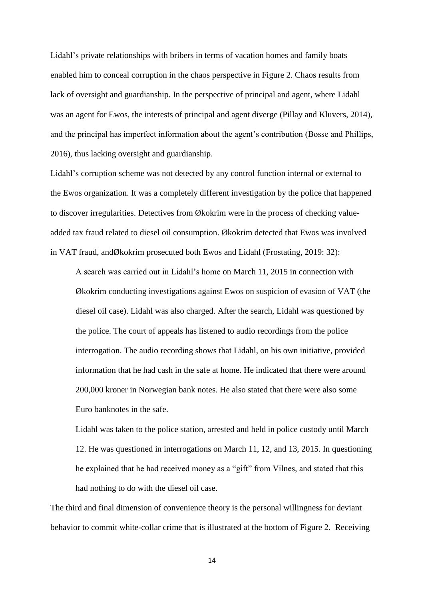Lidahl's private relationships with bribers in terms of vacation homes and family boats enabled him to conceal corruption in the chaos perspective in Figure 2. Chaos results from lack of oversight and guardianship. In the perspective of principal and agent, where Lidahl was an agent for Ewos, the interests of principal and agent diverge (Pillay and Kluvers, 2014), and the principal has imperfect information about the agent's contribution (Bosse and Phillips, 2016), thus lacking oversight and guardianship.

Lidahl's corruption scheme was not detected by any control function internal or external to the Ewos organization. It was a completely different investigation by the police that happened to discover irregularities. Detectives from Økokrim were in the process of checking valueadded tax fraud related to diesel oil consumption. Økokrim detected that Ewos was involved in VAT fraud, andØkokrim prosecuted both Ewos and Lidahl (Frostating, 2019: 32):

A search was carried out in Lidahl's home on March 11, 2015 in connection with Økokrim conducting investigations against Ewos on suspicion of evasion of VAT (the diesel oil case). Lidahl was also charged. After the search, Lidahl was questioned by the police. The court of appeals has listened to audio recordings from the police interrogation. The audio recording shows that Lidahl, on his own initiative, provided information that he had cash in the safe at home. He indicated that there were around 200,000 kroner in Norwegian bank notes. He also stated that there were also some Euro banknotes in the safe.

Lidahl was taken to the police station, arrested and held in police custody until March 12. He was questioned in interrogations on March 11, 12, and 13, 2015. In questioning he explained that he had received money as a "gift" from Vilnes, and stated that this had nothing to do with the diesel oil case.

The third and final dimension of convenience theory is the personal willingness for deviant behavior to commit white-collar crime that is illustrated at the bottom of Figure 2. Receiving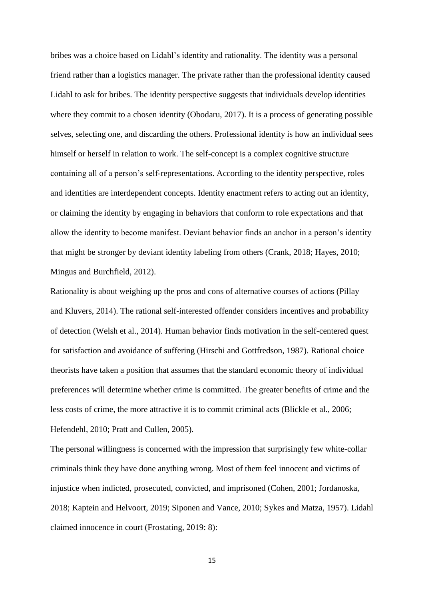bribes was a choice based on Lidahl's identity and rationality. The identity was a personal friend rather than a logistics manager. The private rather than the professional identity caused Lidahl to ask for bribes. The identity perspective suggests that individuals develop identities where they commit to a chosen identity (Obodaru, 2017). It is a process of generating possible selves, selecting one, and discarding the others. Professional identity is how an individual sees himself or herself in relation to work. The self-concept is a complex cognitive structure containing all of a person's self-representations. According to the identity perspective, roles and identities are interdependent concepts. Identity enactment refers to acting out an identity, or claiming the identity by engaging in behaviors that conform to role expectations and that allow the identity to become manifest. Deviant behavior finds an anchor in a person's identity that might be stronger by deviant identity labeling from others (Crank, 2018; Hayes, 2010; Mingus and Burchfield, 2012).

Rationality is about weighing up the pros and cons of alternative courses of actions (Pillay and Kluvers, 2014). The rational self-interested offender considers incentives and probability of detection (Welsh et al., 2014). Human behavior finds motivation in the self-centered quest for satisfaction and avoidance of suffering (Hirschi and Gottfredson, 1987). Rational choice theorists have taken a position that assumes that the standard economic theory of individual preferences will determine whether crime is committed. The greater benefits of crime and the less costs of crime, the more attractive it is to commit criminal acts (Blickle et al., 2006; Hefendehl, 2010; Pratt and Cullen, 2005).

The personal willingness is concerned with the impression that surprisingly few white-collar criminals think they have done anything wrong. Most of them feel innocent and victims of injustice when indicted, prosecuted, convicted, and imprisoned (Cohen, 2001; Jordanoska, 2018; Kaptein and Helvoort, 2019; Siponen and Vance, 2010; Sykes and Matza, 1957). Lidahl claimed innocence in court (Frostating, 2019: 8):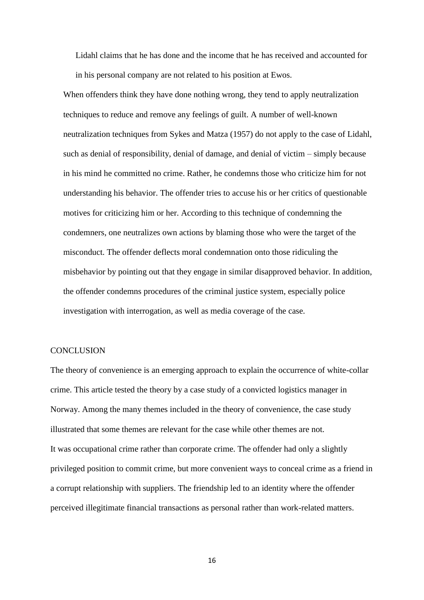Lidahl claims that he has done and the income that he has received and accounted for in his personal company are not related to his position at Ewos.

When offenders think they have done nothing wrong, they tend to apply neutralization techniques to reduce and remove any feelings of guilt. A number of well-known neutralization techniques from Sykes and Matza (1957) do not apply to the case of Lidahl, such as denial of responsibility, denial of damage, and denial of victim – simply because in his mind he committed no crime. Rather, he condemns those who criticize him for not understanding his behavior. The offender tries to accuse his or her critics of questionable motives for criticizing him or her. According to this technique of condemning the condemners, one neutralizes own actions by blaming those who were the target of the misconduct. The offender deflects moral condemnation onto those ridiculing the misbehavior by pointing out that they engage in similar disapproved behavior. In addition, the offender condemns procedures of the criminal justice system, especially police investigation with interrogation, as well as media coverage of the case.

#### **CONCLUSION**

The theory of convenience is an emerging approach to explain the occurrence of white-collar crime. This article tested the theory by a case study of a convicted logistics manager in Norway. Among the many themes included in the theory of convenience, the case study illustrated that some themes are relevant for the case while other themes are not. It was occupational crime rather than corporate crime. The offender had only a slightly privileged position to commit crime, but more convenient ways to conceal crime as a friend in a corrupt relationship with suppliers. The friendship led to an identity where the offender perceived illegitimate financial transactions as personal rather than work-related matters.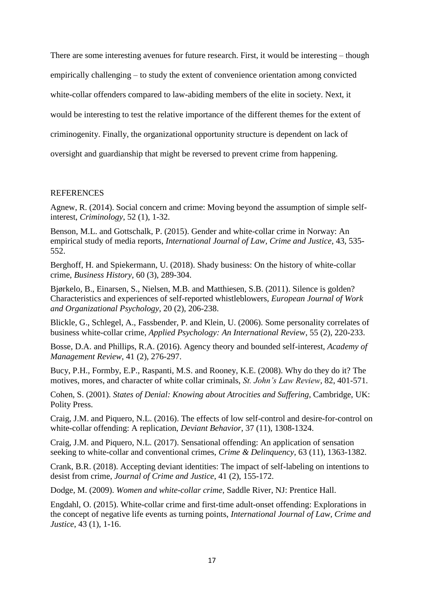There are some interesting avenues for future research. First, it would be interesting – though empirically challenging – to study the extent of convenience orientation among convicted white-collar offenders compared to law-abiding members of the elite in society. Next, it would be interesting to test the relative importance of the different themes for the extent of criminogenity. Finally, the organizational opportunity structure is dependent on lack of oversight and guardianship that might be reversed to prevent crime from happening.

### REFERENCES

Agnew, R. (2014). Social concern and crime: Moving beyond the assumption of simple selfinterest, *Criminology*, 52 (1), 1-32.

Benson, M.L. and Gottschalk, P. (2015). Gender and white-collar crime in Norway: An empirical study of media reports, *International Journal of Law, Crime and Justice*, 43, 535- 552.

Berghoff, H. and Spiekermann, U. (2018). Shady business: On the history of white-collar crime, *Business History*, 60 (3), 289-304.

Bjørkelo, B., Einarsen, S., Nielsen, M.B. and Matthiesen, S.B. (2011). Silence is golden? Characteristics and experiences of self-reported whistleblowers, *European Journal of Work and Organizational Psychology*, 20 (2), 206-238.

Blickle, G., Schlegel, A., Fassbender, P. and Klein, U. (2006). Some personality correlates of business white-collar crime, *Applied Psychology: An International Review*, 55 (2), 220-233.

Bosse, D.A. and Phillips, R.A. (2016). Agency theory and bounded self-interest, *Academy of Management Review*, 41 (2), 276-297.

Bucy, P.H., Formby, E.P., Raspanti, M.S. and Rooney, K.E. (2008). Why do they do it? The motives, mores, and character of white collar criminals, *St. John's Law Review*, 82, 401-571.

Cohen, S. (2001). *States of Denial: Knowing about Atrocities and Suffering*, Cambridge, UK: Polity Press.

Craig, J.M. and Piquero, N.L. (2016). The effects of low self-control and desire-for-control on white-collar offending: A replication, *Deviant Behavior*, 37 (11), 1308-1324.

Craig, J.M. and Piquero, N.L. (2017). Sensational offending: An application of sensation seeking to white-collar and conventional crimes, *Crime & Delinquency*, 63 (11), 1363-1382.

Crank, B.R. (2018). Accepting deviant identities: The impact of self-labeling on intentions to desist from crime, *Journal of Crime and Justice*, 41 (2), 155-172.

Dodge, M. (2009). *Women and white-collar crime*, Saddle River, NJ: Prentice Hall.

Engdahl, O. (2015). White-collar crime and first-time adult-onset offending: Explorations in the concept of negative life events as turning points, *International Journal of Law, Crime and Justice*, 43 (1), 1-16.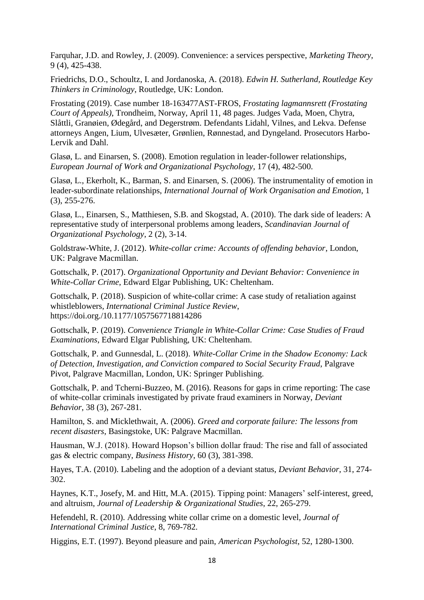Farquhar, J.D. and Rowley, J. (2009). Convenience: a services perspective, *Marketing Theory*, 9 (4), 425-438.

Friedrichs, D.O., Schoultz, I. and Jordanoska, A. (2018). *Edwin H. Sutherland, Routledge Key Thinkers in Criminology*, Routledge, UK: London.

Frostating (2019). Case number 18-163477AST-FROS, *Frostating lagmannsrett (Frostating Court of Appeals)*, Trondheim, Norway, April 11, 48 pages. Judges Vada, Moen, Chytra, Slåttli, Granøien, Ødegård, and Degerstrøm. Defendants Lidahl, Vilnes, and Lekva. Defense attorneys Angen, Lium, Ulvesæter, Grønlien, Rønnestad, and Dyngeland. Prosecutors Harbo-Lervik and Dahl.

Glasø, L. and Einarsen, S. (2008). Emotion regulation in leader-follower relationships, *European Journal of Work and Organizational Psychology*, 17 (4), 482-500.

Glasø, L., Ekerholt, K., Barman, S. and Einarsen, S. (2006). The instrumentality of emotion in leader-subordinate relationships, *International Journal of Work Organisation and Emotion*, 1 (3), 255-276.

Glasø, L., Einarsen, S., Matthiesen, S.B. and Skogstad, A. (2010). The dark side of leaders: A representative study of interpersonal problems among leaders, *Scandinavian Journal of Organizational Psychology*, 2 (2), 3-14.

Goldstraw-White, J. (2012). *White-collar crime: Accounts of offending behavior*, London, UK: Palgrave Macmillan.

Gottschalk, P. (2017). *Organizational Opportunity and Deviant Behavior: Convenience in White-Collar Crime*, Edward Elgar Publishing, UK: Cheltenham.

Gottschalk, P. (2018). Suspicion of white-collar crime: A case study of retaliation against whistleblowers, *International Criminal Justice Review*, https://doi.org./10.1177/1057567718814286

Gottschalk, P. (2019). *Convenience Triangle in White-Collar Crime: Case Studies of Fraud Examinations*, Edward Elgar Publishing, UK: Cheltenham.

Gottschalk, P. and Gunnesdal, L. (2018). *White-Collar Crime in the Shadow Economy: Lack of Detection, Investigation, and Conviction compared to Social Security Fraud*, Palgrave Pivot, Palgrave Macmillan, London, UK: Springer Publishing.

Gottschalk, P. and Tcherni-Buzzeo, M. (2016). Reasons for gaps in crime reporting: The case of white-collar criminals investigated by private fraud examiners in Norway, *Deviant Behavior*, 38 (3), 267-281.

Hamilton, S. and Micklethwait, A. (2006). *Greed and corporate failure: The lessons from recent disasters*, Basingstoke, UK: Palgrave Macmillan.

Hausman, W.J. (2018). Howard Hopson's billion dollar fraud: The rise and fall of associated gas & electric company, *Business History*, 60 (3), 381-398.

Hayes, T.A. (2010). Labeling and the adoption of a deviant status, *Deviant Behavior*, 31, 274- 302.

Haynes, K.T., Josefy, M. and Hitt, M.A. (2015). Tipping point: Managers' self-interest, greed, and altruism, *Journal of Leadership & Organizational Studies*, 22, 265-279.

Hefendehl, R. (2010). Addressing white collar crime on a domestic level*, Journal of International Criminal Justice*, 8, 769-782.

Higgins, E.T. (1997). Beyond pleasure and pain, *American Psychologist*, 52, 1280-1300.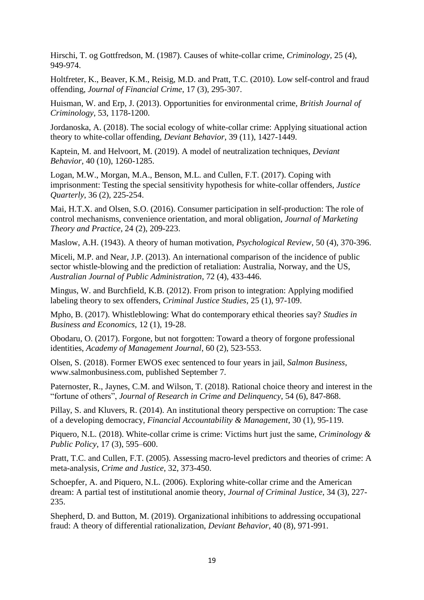Hirschi, T. og Gottfredson, M. (1987). Causes of white-collar crime, *Criminology,* 25 (4), 949-974.

Holtfreter, K., Beaver, K.M., Reisig, M.D. and Pratt, T.C. (2010). Low self-control and fraud offending, *Journal of Financial Crime*, 17 (3), 295-307.

Huisman, W. and Erp, J. (2013). Opportunities for environmental crime, *British Journal of Criminology*, 53, 1178-1200.

Jordanoska, A. (2018). The social ecology of white-collar crime: Applying situational action theory to white-collar offending, *Deviant Behavior*, 39 (11), 1427-1449.

Kaptein, M. and Helvoort, M. (2019). A model of neutralization techniques, *Deviant Behavior*, 40 (10), 1260-1285.

Logan, M.W., Morgan, M.A., Benson, M.L. and Cullen, F.T. (2017). Coping with imprisonment: Testing the special sensitivity hypothesis for white-collar offenders, *Justice Quarterly*, 36 (2), 225-254.

Mai, H.T.X. and Olsen, S.O. (2016). Consumer participation in self-production: The role of control mechanisms, convenience orientation, and moral obligation, *Journal of Marketing Theory and Practice*, 24 (2), 209-223.

Maslow, A.H. (1943). A theory of human motivation, *Psychological Review*, 50 (4), 370-396.

Miceli, M.P. and Near, J.P. (2013). An international comparison of the incidence of public sector whistle-blowing and the prediction of retaliation: Australia, Norway, and the US, *Australian Journal of Public Administration*, 72 (4), 433-446.

Mingus, W. and Burchfield, K.B. (2012). From prison to integration: Applying modified labeling theory to sex offenders, *Criminal Justice Studies*, 25 (1), 97-109.

Mpho, B. (2017). Whistleblowing: What do contemporary ethical theories say? *Studies in Business and Economics*, 12 (1), 19-28.

Obodaru, O. (2017). Forgone, but not forgotten: Toward a theory of forgone professional identities, *Academy of Management Journal*, 60 (2), 523-553.

Olsen, S. (2018). Former EWOS exec sentenced to four years in jail, *Salmon Business*, www.salmonbusiness.com, published September 7.

Paternoster, R., Jaynes, C.M. and Wilson, T. (2018). Rational choice theory and interest in the "fortune of others", *Journal of Research in Crime and Delinquency*, 54 (6), 847-868.

Pillay, S. and Kluvers, R. (2014). An institutional theory perspective on corruption: The case of a developing democracy, *Financial Accountability & Management*, 30 (1), 95-119.

Piquero, N.L. (2018). White-collar crime is crime: Victims hurt just the same, *Criminology & Public Policy*, 17 (3), 595–600.

Pratt, T.C. and Cullen, F.T. (2005). Assessing macro-level predictors and theories of crime: A meta-analysis, *Crime and Justice*, 32, 373-450.

Schoepfer, A. and Piquero, N.L. (2006). Exploring white-collar crime and the American dream: A partial test of institutional anomie theory, *Journal of Criminal Justice*, 34 (3), 227- 235.

Shepherd, D. and Button, M. (2019). Organizational inhibitions to addressing occupational fraud: A theory of differential rationalization, *Deviant Behavior*, 40 (8), 971-991.